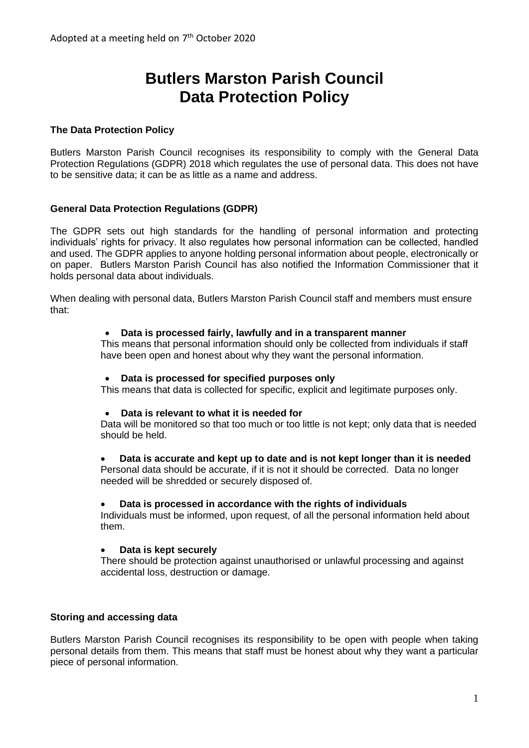# **Butlers Marston Parish Council Data Protection Policy**

# **The Data Protection Policy**

Butlers Marston Parish Council recognises its responsibility to comply with the General Data Protection Regulations (GDPR) 2018 which regulates the use of personal data. This does not have to be sensitive data; it can be as little as a name and address.

# **General Data Protection Regulations (GDPR)**

The GDPR sets out high standards for the handling of personal information and protecting individuals' rights for privacy. It also regulates how personal information can be collected, handled and used. The GDPR applies to anyone holding personal information about people, electronically or on paper. Butlers Marston Parish Council has also notified the Information Commissioner that it holds personal data about individuals.

When dealing with personal data, Butlers Marston Parish Council staff and members must ensure that:

#### • **Data is processed fairly, lawfully and in a transparent manner**

This means that personal information should only be collected from individuals if staff have been open and honest about why they want the personal information.

#### • **Data is processed for specified purposes only**

This means that data is collected for specific, explicit and legitimate purposes only.

#### • **Data is relevant to what it is needed for**

Data will be monitored so that too much or too little is not kept; only data that is needed should be held.

## • **Data is accurate and kept up to date and is not kept longer than it is needed**

Personal data should be accurate, if it is not it should be corrected. Data no longer needed will be shredded or securely disposed of.

#### • **Data is processed in accordance with the rights of individuals**

Individuals must be informed, upon request, of all the personal information held about them.

# • **Data is kept securely**

There should be protection against unauthorised or unlawful processing and against accidental loss, destruction or damage.

## **Storing and accessing data**

Butlers Marston Parish Council recognises its responsibility to be open with people when taking personal details from them. This means that staff must be honest about why they want a particular piece of personal information.